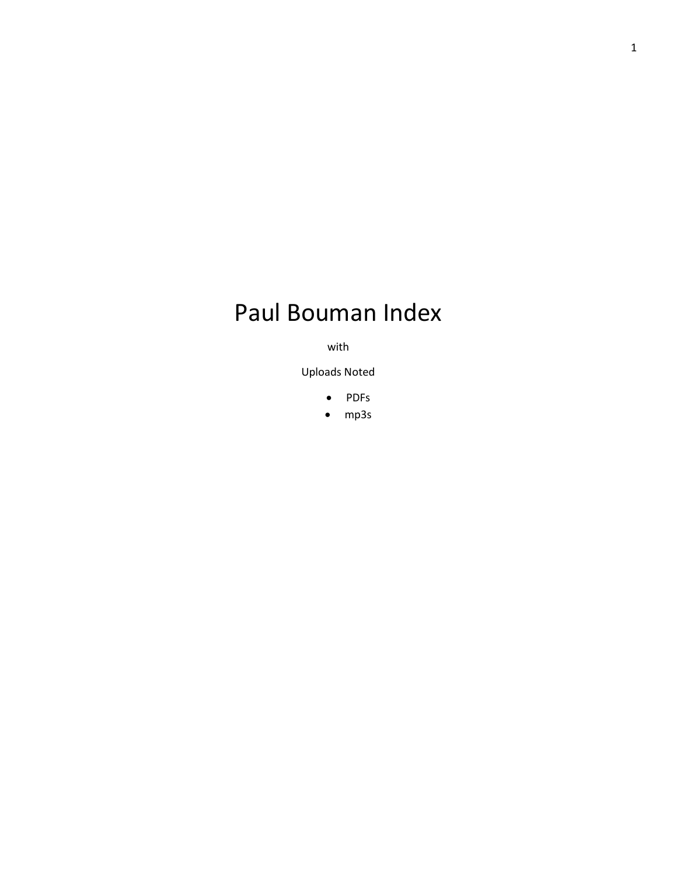# Paul Bouman Index

with

Uploads Noted

- PDFs
- mp3s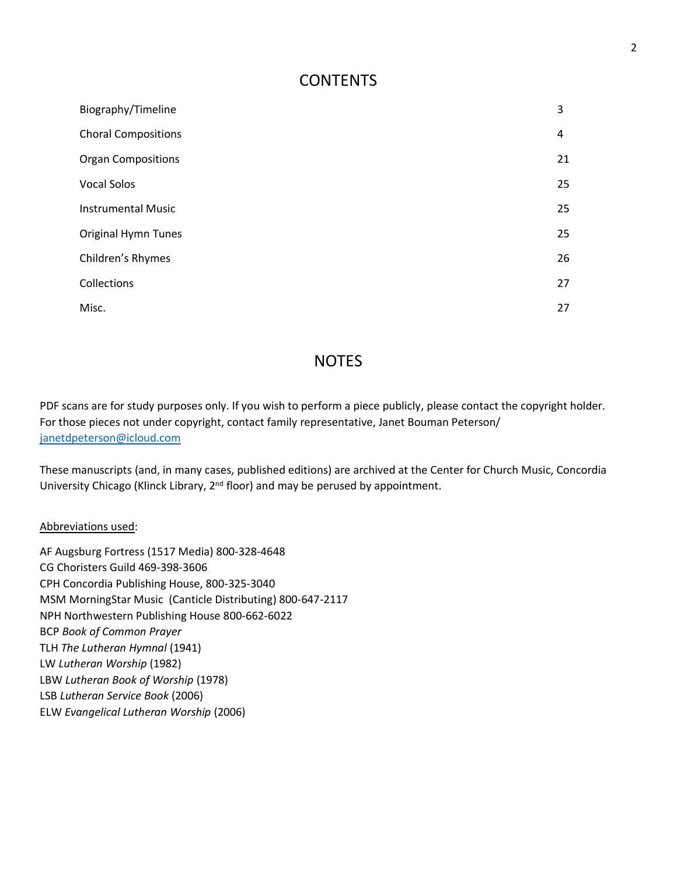#### **CONTENTS**

| Biography/Timeline         | 3  |
|----------------------------|----|
| <b>Choral Compositions</b> | 4  |
| <b>Organ Compositions</b>  | 21 |
| <b>Vocal Solos</b>         | 25 |
| <b>Instrumental Music</b>  | 25 |
| <b>Original Hymn Tunes</b> | 25 |
| Children's Rhymes          | 26 |
| Collections                | 27 |
| Misc.                      | 27 |

#### **NOTES**

PDF scans are for study purposes only. If you wish to perform a piece publicly, please contact the copyright holder. For those pieces not under copyright, contact family representative, Janet Bouman Peterson/ [janetdpeterson@icloud.com](mailto:janetdpeterson@icloud.com)

These manuscripts (and, in many cases, published editions) are archived at the Center for Church Music, Concordia University Chicago (Klinck Library, 2<sup>nd</sup> floor) and may be perused by appointment.

Abbreviations used:

AF Augsburg Fortress (1517 Media) 800-328-4648 CG Choristers Guild 469-398-3606 CPH Concordia Publishing House, 800-325-3040 MSM MorningStar Music (Canticle Distributing) 800-647-2117 NPH Northwestern Publishing House 800-662-6022 BCP *Book of Common Prayer* TLH *The Lutheran Hymnal* (1941) LW *Lutheran Worship* (1982) LBW *Lutheran Book of Worship* (1978) LSB *Lutheran Service Book* (2006) ELW *Evangelical Lutheran Worship* (2006)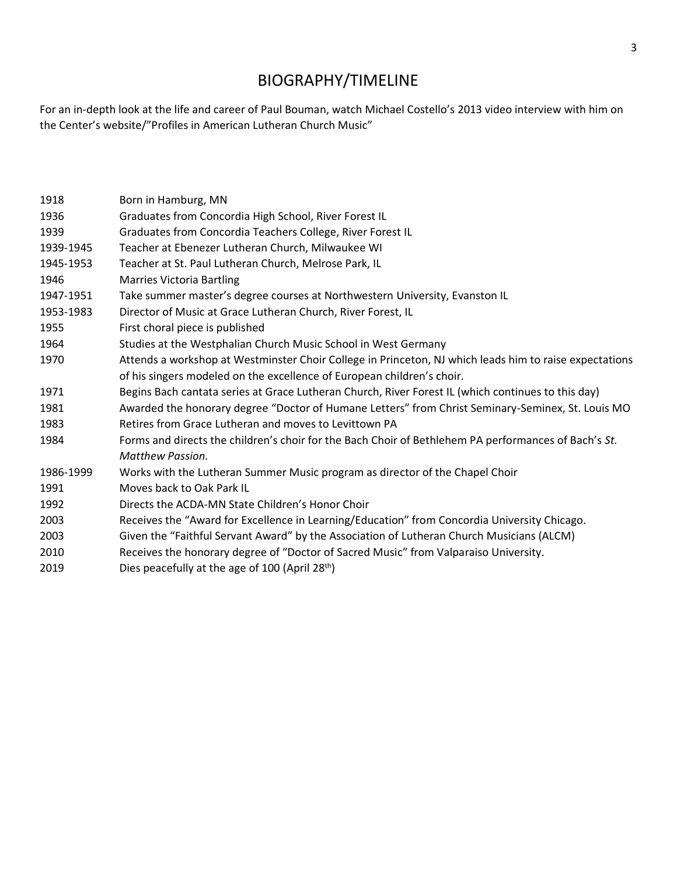## BIOGRAPHY/TIMELINE

For an in-depth look at the life and career of Paul Bouman, watch Michael Costello's 2013 video interview with him on the Center's website/"Profiles in American Lutheran Church Music"

| 1918      | Born in Hamburg, MN                                                                                    |  |
|-----------|--------------------------------------------------------------------------------------------------------|--|
| 1936      | Graduates from Concordia High School, River Forest IL                                                  |  |
| 1939      | Graduates from Concordia Teachers College, River Forest IL                                             |  |
| 1939-1945 | Teacher at Ebenezer Lutheran Church, Milwaukee WI                                                      |  |
| 1945-1953 | Teacher at St. Paul Lutheran Church, Melrose Park, IL                                                  |  |
| 1946      | <b>Marries Victoria Bartling</b>                                                                       |  |
| 1947-1951 | Take summer master's degree courses at Northwestern University, Evanston IL                            |  |
| 1953-1983 | Director of Music at Grace Lutheran Church, River Forest, IL                                           |  |
| 1955      | First choral piece is published                                                                        |  |
| 1964      | Studies at the Westphalian Church Music School in West Germany                                         |  |
| 1970      | Attends a workshop at Westminster Choir College in Princeton, NJ which leads him to raise expectations |  |
|           | of his singers modeled on the excellence of European children's choir.                                 |  |
| 1971      | Begins Bach cantata series at Grace Lutheran Church, River Forest IL (which continues to this day)     |  |
| 1981      | Awarded the honorary degree "Doctor of Humane Letters" from Christ Seminary-Seminex, St. Louis MO      |  |
| 1983      | Retires from Grace Lutheran and moves to Levittown PA                                                  |  |
| 1984      | Forms and directs the children's choir for the Bach Choir of Bethlehem PA performances of Bach's St.   |  |
|           | Matthew Passion.                                                                                       |  |
| 1986-1999 | Works with the Lutheran Summer Music program as director of the Chapel Choir                           |  |
| 1991      | Moves back to Oak Park IL                                                                              |  |
| 1992      | Directs the ACDA-MN State Children's Honor Choir                                                       |  |
| 2003      | Receives the "Award for Excellence in Learning/Education" from Concordia University Chicago.           |  |
| 2003      | Given the "Faithful Servant Award" by the Association of Lutheran Church Musicians (ALCM)              |  |
| 2010      | Receives the honorary degree of "Doctor of Sacred Music" from Valparaiso University.                   |  |
| 2019      | Dies peacefully at the age of 100 (April 28th)                                                         |  |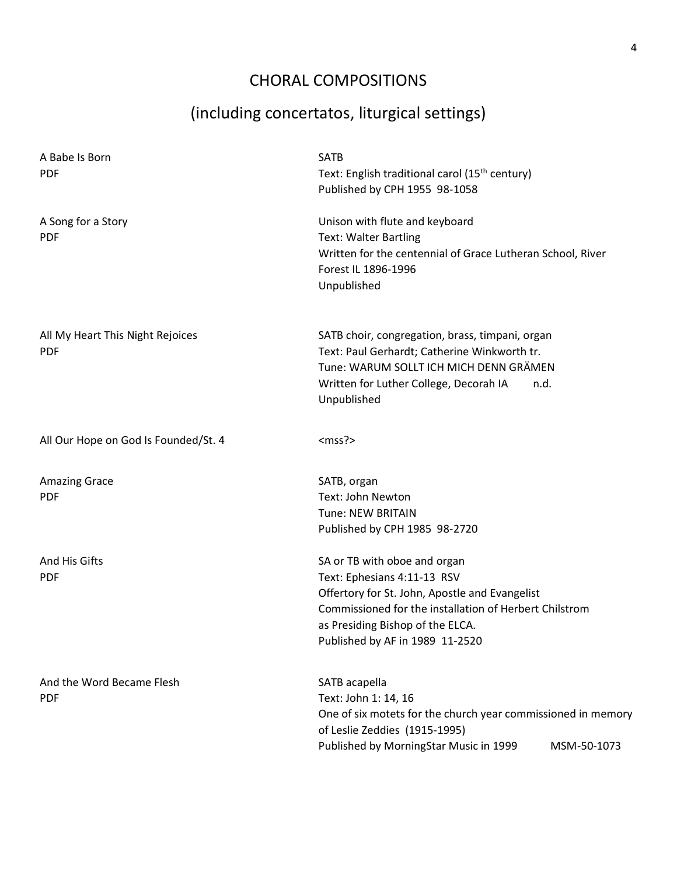## CHORAL COMPOSITIONS

# (including concertatos, liturgical settings)

| A Babe Is Born<br><b>PDF</b>                   | <b>SATB</b><br>Text: English traditional carol (15 <sup>th</sup> century)<br>Published by CPH 1955 98-1058                                                                                                                                     |
|------------------------------------------------|------------------------------------------------------------------------------------------------------------------------------------------------------------------------------------------------------------------------------------------------|
| A Song for a Story<br><b>PDF</b>               | Unison with flute and keyboard<br><b>Text: Walter Bartling</b><br>Written for the centennial of Grace Lutheran School, River<br>Forest IL 1896-1996<br>Unpublished                                                                             |
| All My Heart This Night Rejoices<br><b>PDF</b> | SATB choir, congregation, brass, timpani, organ<br>Text: Paul Gerhardt; Catherine Winkworth tr.<br>Tune: WARUM SOLLT ICH MICH DENN GRÄMEN<br>Written for Luther College, Decorah IA<br>n.d.<br>Unpublished                                     |
| All Our Hope on God Is Founded/St. 4           | $<$ mss? $>$                                                                                                                                                                                                                                   |
| <b>Amazing Grace</b><br><b>PDF</b>             | SATB, organ<br>Text: John Newton<br><b>Tune: NEW BRITAIN</b><br>Published by CPH 1985 98-2720                                                                                                                                                  |
| And His Gifts<br><b>PDF</b>                    | SA or TB with oboe and organ<br>Text: Ephesians 4:11-13 RSV<br>Offertory for St. John, Apostle and Evangelist<br>Commissioned for the installation of Herbert Chilstrom<br>as Presiding Bishop of the ELCA.<br>Published by AF in 1989 11-2520 |
| And the Word Became Flesh<br><b>PDF</b>        | SATB acapella<br>Text: John 1: 14, 16<br>One of six motets for the church year commissioned in memory<br>of Leslie Zeddies (1915-1995)<br>Published by MorningStar Music in 1999<br>MSM-50-1073                                                |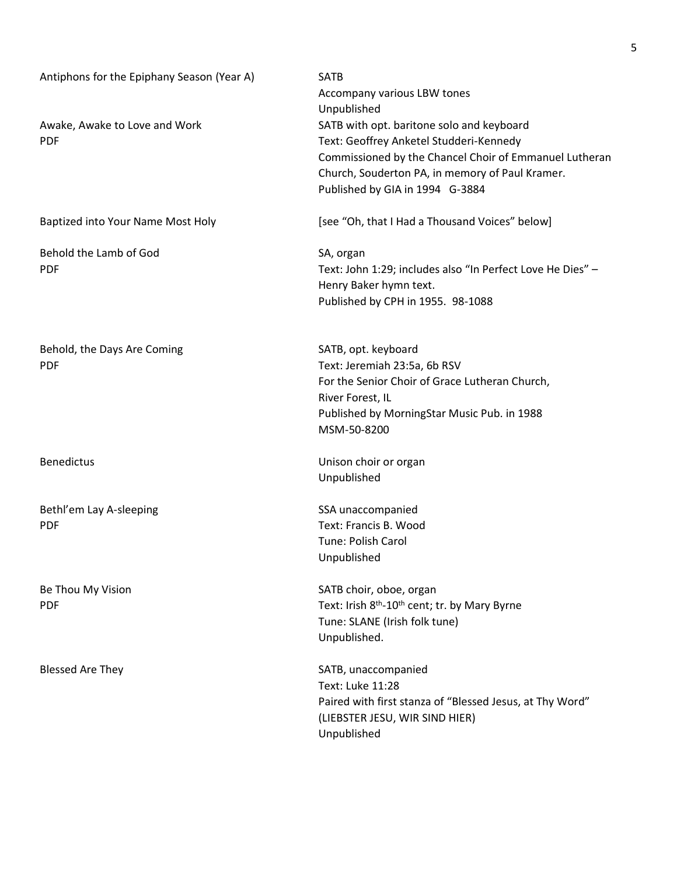| Antiphons for the Epiphany Season (Year A)  | <b>SATB</b><br>Accompany various LBW tones<br>Unpublished                                                                                                                                                                            |
|---------------------------------------------|--------------------------------------------------------------------------------------------------------------------------------------------------------------------------------------------------------------------------------------|
| Awake, Awake to Love and Work<br><b>PDF</b> | SATB with opt. baritone solo and keyboard<br>Text: Geoffrey Anketel Studderi-Kennedy<br>Commissioned by the Chancel Choir of Emmanuel Lutheran<br>Church, Souderton PA, in memory of Paul Kramer.<br>Published by GIA in 1994 G-3884 |
| Baptized into Your Name Most Holy           | [see "Oh, that I Had a Thousand Voices" below]                                                                                                                                                                                       |
| Behold the Lamb of God<br><b>PDF</b>        | SA, organ<br>Text: John 1:29; includes also "In Perfect Love He Dies" -<br>Henry Baker hymn text.<br>Published by CPH in 1955. 98-1088                                                                                               |
| Behold, the Days Are Coming<br><b>PDF</b>   | SATB, opt. keyboard<br>Text: Jeremiah 23:5a, 6b RSV<br>For the Senior Choir of Grace Lutheran Church,<br>River Forest, IL<br>Published by MorningStar Music Pub. in 1988<br>MSM-50-8200                                              |
| <b>Benedictus</b>                           | Unison choir or organ<br>Unpublished                                                                                                                                                                                                 |
| Bethl'em Lay A-sleeping<br><b>PDF</b>       | SSA unaccompanied<br>Text: Francis B. Wood<br>Tune: Polish Carol<br>Unpublished                                                                                                                                                      |
| Be Thou My Vision<br><b>PDF</b>             | SATB choir, oboe, organ<br>Text: Irish 8 <sup>th</sup> -10 <sup>th</sup> cent; tr. by Mary Byrne<br>Tune: SLANE (Irish folk tune)<br>Unpublished.                                                                                    |
| <b>Blessed Are They</b>                     | SATB, unaccompanied<br>Text: Luke 11:28<br>Paired with first stanza of "Blessed Jesus, at Thy Word"<br>(LIEBSTER JESU, WIR SIND HIER)<br>Unpublished                                                                                 |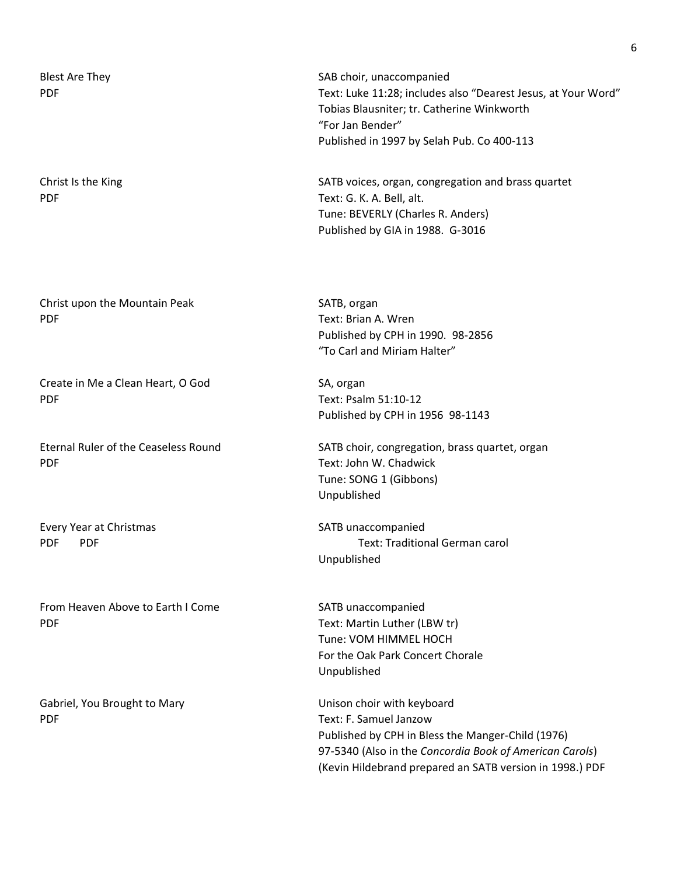| <b>Blest Are They</b><br><b>PDF</b>             | SAB choir, unaccompanied<br>Text: Luke 11:28; includes a<br>Tobias Blausniter; tr. Cathe<br>"For Jan Bender"<br>Published in 1997 by Selah |
|-------------------------------------------------|--------------------------------------------------------------------------------------------------------------------------------------------|
| Christ Is the King<br><b>PDF</b>                | SATB voices, organ, congre<br>Text: G. K. A. Bell, alt.<br>Tune: BEVERLY (Charles R.<br>Published by GIA in 1988.                          |
| Christ upon the Mountain Peak<br><b>PDF</b>     | SATB, organ<br>Text: Brian A. Wren<br>Published by CPH in 1990.<br>"To Carl and Miriam Halter                                              |
| Create in Me a Clean Heart, O God<br><b>PDF</b> | SA, organ<br>Text: Psalm 51:10-12                                                                                                          |

PDF Text: John W. Chadwick

Every Year at Christmas SATB unaccompanied

From Heaven Above to Earth I Come SATB unaccompanied PDF Text: Martin Luther (LBW tr)

Gabriel, You Brought to Mary **No. 1898** Unison choir with keyboard PDF Text: F. Samuel Janzow

Luke 11:28; includes also "Dearest Jesus, at Your Word" s Blausniter; tr. Catherine Winkworth an Bender" hed in 1997 by Selah Pub. Co 400-113

voices, organ, congregation and brass quartet G. K. A. Bell, alt. BEVERLY (Charles R. Anders) hed by GIA in 1988. G-3016

Brian A. Wren hed by CPH in 1990. 98-2856 arl and Miriam Halter"

Psalm 51:10-12 Published by CPH in 1956 98-1143

Eternal Ruler of the Ceaseless Round SATB choir, congregation, brass quartet, organ Tune: SONG 1 (Gibbons) Unpublished

PDF PDF Text: Traditional German carol Unpublished

> Tune: VOM HIMMEL HOCH For the Oak Park Concert Chorale Unpublished

Published by CPH in Bless the Manger-Child (1976) 97-5340 (Also in the *Concordia Book of American Carols*) (Kevin Hildebrand prepared an SATB version in 1998.) PDF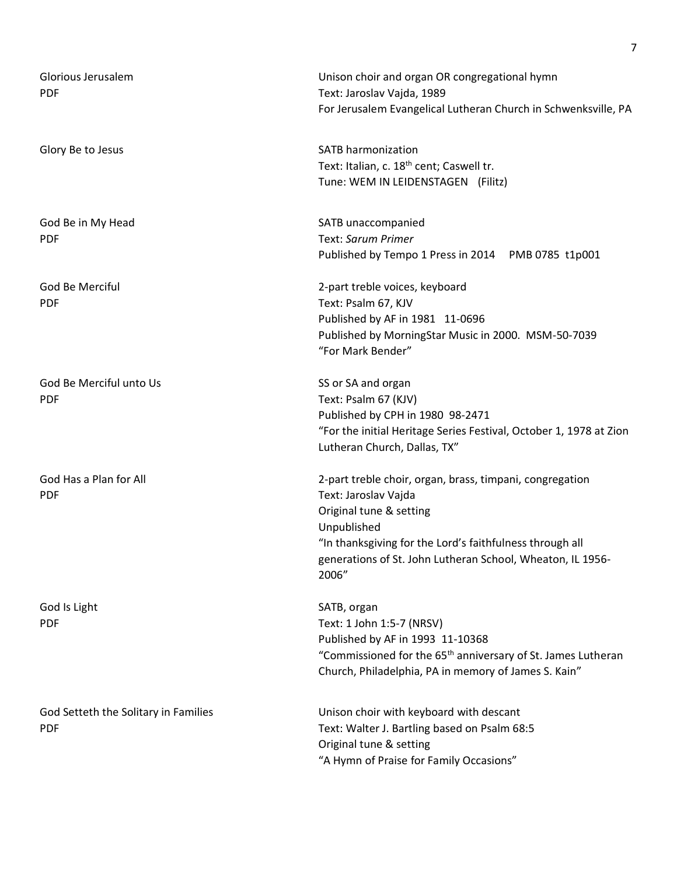| Glorious Jerusalem<br><b>PDF</b>     | Unison choir and organ OR congregational hymn<br>Text: Jaroslav Vajda, 1989<br>For Jerusalem Evangelical Lutheran Church in Schwenksville, PA |
|--------------------------------------|-----------------------------------------------------------------------------------------------------------------------------------------------|
|                                      |                                                                                                                                               |
| Glory Be to Jesus                    | <b>SATB harmonization</b>                                                                                                                     |
|                                      | Text: Italian, c. 18 <sup>th</sup> cent; Caswell tr.                                                                                          |
|                                      | Tune: WEM IN LEIDENSTAGEN (Filitz)                                                                                                            |
| God Be in My Head                    | SATB unaccompanied                                                                                                                            |
| <b>PDF</b>                           | Text: Sarum Primer                                                                                                                            |
|                                      | Published by Tempo 1 Press in 2014 PMB 0785 t1p001                                                                                            |
| God Be Merciful                      | 2-part treble voices, keyboard                                                                                                                |
| <b>PDF</b>                           | Text: Psalm 67, KJV                                                                                                                           |
|                                      | Published by AF in 1981 11-0696                                                                                                               |
|                                      | Published by MorningStar Music in 2000. MSM-50-7039                                                                                           |
|                                      | "For Mark Bender"                                                                                                                             |
| God Be Merciful unto Us              | SS or SA and organ                                                                                                                            |
| <b>PDF</b>                           | Text: Psalm 67 (KJV)                                                                                                                          |
|                                      | Published by CPH in 1980 98-2471                                                                                                              |
|                                      | "For the initial Heritage Series Festival, October 1, 1978 at Zion                                                                            |
|                                      | Lutheran Church, Dallas, TX"                                                                                                                  |
| God Has a Plan for All               | 2-part treble choir, organ, brass, timpani, congregation                                                                                      |
| <b>PDF</b>                           | Text: Jaroslav Vajda                                                                                                                          |
|                                      | Original tune & setting                                                                                                                       |
|                                      | Unpublished                                                                                                                                   |
|                                      | "In thanksgiving for the Lord's faithfulness through all                                                                                      |
|                                      | generations of St. John Lutheran School, Wheaton, IL 1956-                                                                                    |
|                                      | 2006"                                                                                                                                         |
| God Is Light                         | SATB, organ                                                                                                                                   |
| <b>PDF</b>                           | Text: 1 John 1:5-7 (NRSV)                                                                                                                     |
|                                      | Published by AF in 1993 11-10368                                                                                                              |
|                                      | "Commissioned for the 65 <sup>th</sup> anniversary of St. James Lutheran                                                                      |
|                                      | Church, Philadelphia, PA in memory of James S. Kain"                                                                                          |
| God Setteth the Solitary in Families | Unison choir with keyboard with descant                                                                                                       |
| <b>PDF</b>                           | Text: Walter J. Bartling based on Psalm 68:5                                                                                                  |
|                                      | Original tune & setting                                                                                                                       |
|                                      | "A Hymn of Praise for Family Occasions"                                                                                                       |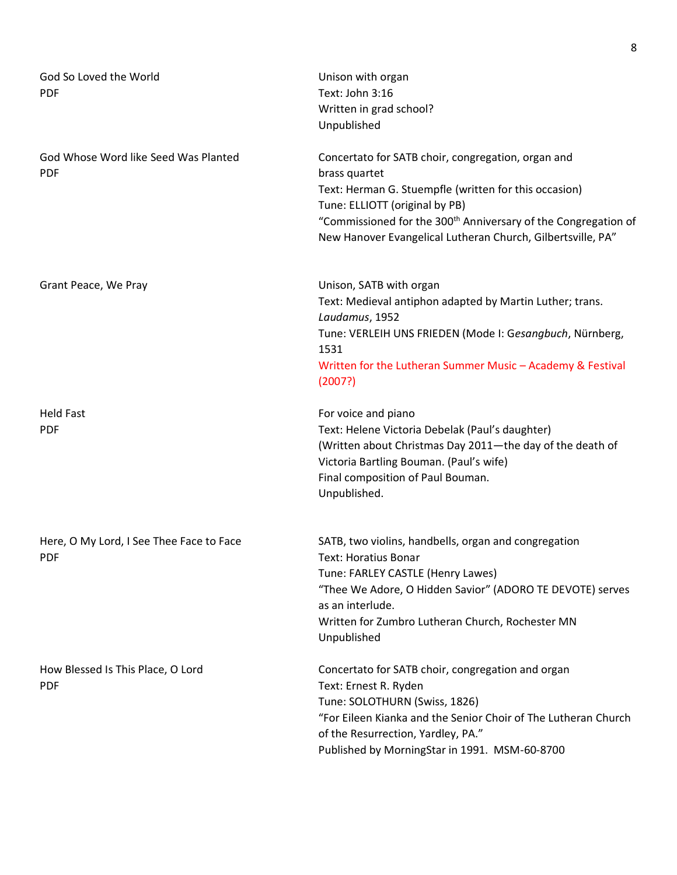| God So Loved the World<br><b>PDF</b>                   | Unison with organ<br>Text: John 3:16<br>Written in grad school?<br>Unpublished                                                                                                                                                                                                                              |
|--------------------------------------------------------|-------------------------------------------------------------------------------------------------------------------------------------------------------------------------------------------------------------------------------------------------------------------------------------------------------------|
| God Whose Word like Seed Was Planted<br><b>PDF</b>     | Concertato for SATB choir, congregation, organ and<br>brass quartet<br>Text: Herman G. Stuempfle (written for this occasion)<br>Tune: ELLIOTT (original by PB)<br>"Commissioned for the 300 <sup>th</sup> Anniversary of the Congregation of<br>New Hanover Evangelical Lutheran Church, Gilbertsville, PA" |
| Grant Peace, We Pray                                   | Unison, SATB with organ<br>Text: Medieval antiphon adapted by Martin Luther; trans.<br>Laudamus, 1952<br>Tune: VERLEIH UNS FRIEDEN (Mode I: Gesangbuch, Nürnberg,<br>1531<br>Written for the Lutheran Summer Music - Academy & Festival<br>(2007?)                                                          |
| <b>Held Fast</b><br><b>PDF</b>                         | For voice and piano<br>Text: Helene Victoria Debelak (Paul's daughter)<br>(Written about Christmas Day 2011-the day of the death of<br>Victoria Bartling Bouman. (Paul's wife)<br>Final composition of Paul Bouman.<br>Unpublished.                                                                         |
| Here, O My Lord, I See Thee Face to Face<br><b>PDF</b> | SATB, two violins, handbells, organ and congregation<br>Text: Horatius Bonar<br>Tune: FARLEY CASTLE (Henry Lawes)<br>"Thee We Adore, O Hidden Savior" (ADORO TE DEVOTE) serves<br>as an interlude.<br>Written for Zumbro Lutheran Church, Rochester MN<br>Unpublished                                       |
| How Blessed Is This Place, O Lord<br><b>PDF</b>        | Concertato for SATB choir, congregation and organ<br>Text: Ernest R. Ryden<br>Tune: SOLOTHURN (Swiss, 1826)<br>"For Eileen Kianka and the Senior Choir of The Lutheran Church<br>of the Resurrection, Yardley, PA."<br>Published by MorningStar in 1991. MSM-60-8700                                        |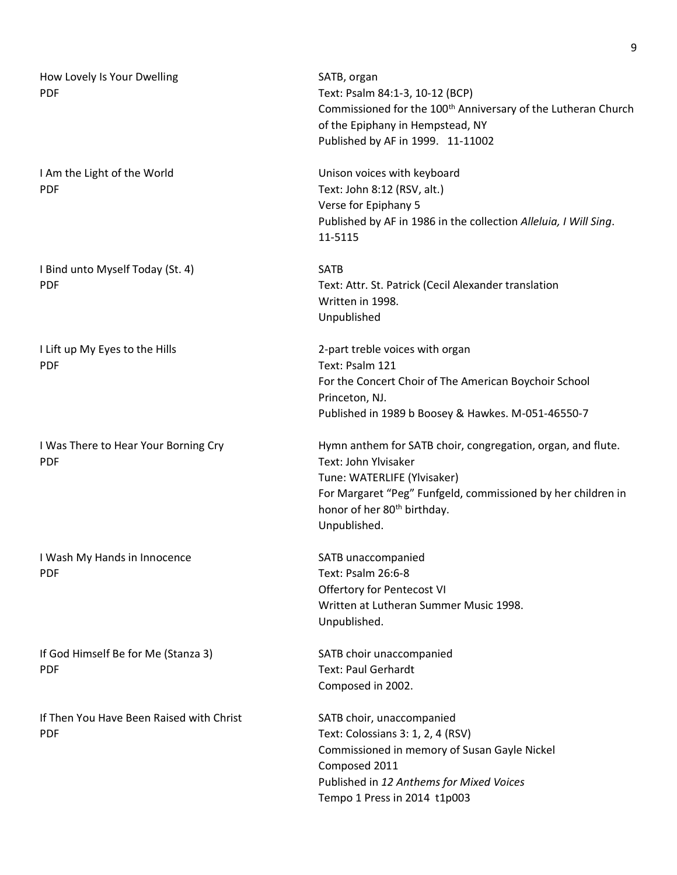| How Lovely Is Your Dwelling<br>PDF              | SATB, organ<br>Text: Psalm 84:1-3, 10-12 (BCP)<br>Commissioned for the 100 <sup>th</sup> Anniversary of the Lutheran Church<br>of the Epiphany in Hempstead, NY<br>Published by AF in 1999. 11-11002                                          |
|-------------------------------------------------|-----------------------------------------------------------------------------------------------------------------------------------------------------------------------------------------------------------------------------------------------|
| I Am the Light of the World<br><b>PDF</b>       | Unison voices with keyboard<br>Text: John 8:12 (RSV, alt.)<br>Verse for Epiphany 5<br>Published by AF in 1986 in the collection Alleluia, I Will Sing.<br>11-5115                                                                             |
| I Bind unto Myself Today (St. 4)<br>PDF         | <b>SATB</b><br>Text: Attr. St. Patrick (Cecil Alexander translation<br>Written in 1998.<br>Unpublished                                                                                                                                        |
| I Lift up My Eyes to the Hills<br>PDF           | 2-part treble voices with organ<br>Text: Psalm 121<br>For the Concert Choir of The American Boychoir School<br>Princeton, NJ.<br>Published in 1989 b Boosey & Hawkes. M-051-46550-7                                                           |
| I Was There to Hear Your Borning Cry<br>PDF     | Hymn anthem for SATB choir, congregation, organ, and flute.<br>Text: John Ylvisaker<br>Tune: WATERLIFE (Ylvisaker)<br>For Margaret "Peg" Funfgeld, commissioned by her children in<br>honor of her 80 <sup>th</sup> birthday.<br>Unpublished. |
| I Wash My Hands in Innocence<br>PDF             | SATB unaccompanied<br>Text: Psalm 26:6-8<br>Offertory for Pentecost VI<br>Written at Lutheran Summer Music 1998.<br>Unpublished.                                                                                                              |
| If God Himself Be for Me (Stanza 3)<br>PDF      | SATB choir unaccompanied<br><b>Text: Paul Gerhardt</b><br>Composed in 2002.                                                                                                                                                                   |
| If Then You Have Been Raised with Christ<br>PDF | SATB choir, unaccompanied<br>Text: Colossians 3: 1, 2, 4 (RSV)<br>Commissioned in memory of Susan Gayle Nickel<br>Composed 2011<br>Published in 12 Anthems for Mixed Voices<br>Tempo 1 Press in 2014 t1p003                                   |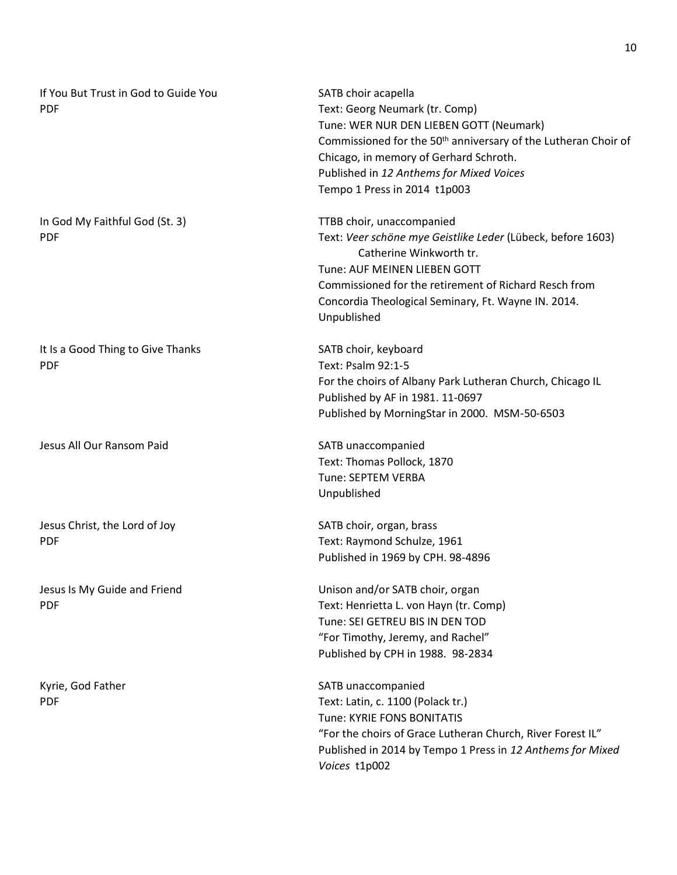| If You But Trust in God to Guide You<br><b>PDF</b> | SATB choir acapella<br>Text: Georg Neumark (tr. Comp)<br>Tune: WER NUR DEN LIEBEN GOTT (Neumark)<br>Commissioned for the 50 <sup>th</sup> anniversary of the Lutheran Choir of<br>Chicago, in memory of Gerhard Schroth.<br>Published in 12 Anthems for Mixed Voices<br>Tempo 1 Press in 2014 t1p003 |
|----------------------------------------------------|------------------------------------------------------------------------------------------------------------------------------------------------------------------------------------------------------------------------------------------------------------------------------------------------------|
| In God My Faithful God (St. 3)<br><b>PDF</b>       | TTBB choir, unaccompanied<br>Text: Veer schöne mye Geistlike Leder (Lübeck, before 1603)<br>Catherine Winkworth tr.<br>Tune: AUF MEINEN LIEBEN GOTT<br>Commissioned for the retirement of Richard Resch from<br>Concordia Theological Seminary, Ft. Wayne IN. 2014.<br>Unpublished                   |
| It Is a Good Thing to Give Thanks<br><b>PDF</b>    | SATB choir, keyboard<br>Text: Psalm 92:1-5<br>For the choirs of Albany Park Lutheran Church, Chicago IL<br>Published by AF in 1981. 11-0697<br>Published by MorningStar in 2000. MSM-50-6503                                                                                                         |
| Jesus All Our Ransom Paid                          | SATB unaccompanied<br>Text: Thomas Pollock, 1870<br>Tune: SEPTEM VERBA<br>Unpublished                                                                                                                                                                                                                |
| Jesus Christ, the Lord of Joy<br><b>PDF</b>        | SATB choir, organ, brass<br>Text: Raymond Schulze, 1961<br>Published in 1969 by CPH. 98-4896                                                                                                                                                                                                         |
| Jesus Is My Guide and Friend<br><b>PDF</b>         | Unison and/or SATB choir, organ<br>Text: Henrietta L. von Hayn (tr. Comp)<br>Tune: SEI GETREU BIS IN DEN TOD<br>"For Timothy, Jeremy, and Rachel"<br>Published by CPH in 1988. 98-2834                                                                                                               |
| Kyrie, God Father<br><b>PDF</b>                    | SATB unaccompanied<br>Text: Latin, c. 1100 (Polack tr.)<br>Tune: KYRIE FONS BONITATIS<br>"For the choirs of Grace Lutheran Church, River Forest IL"<br>Published in 2014 by Tempo 1 Press in 12 Anthems for Mixed<br>Voices t1p002                                                                   |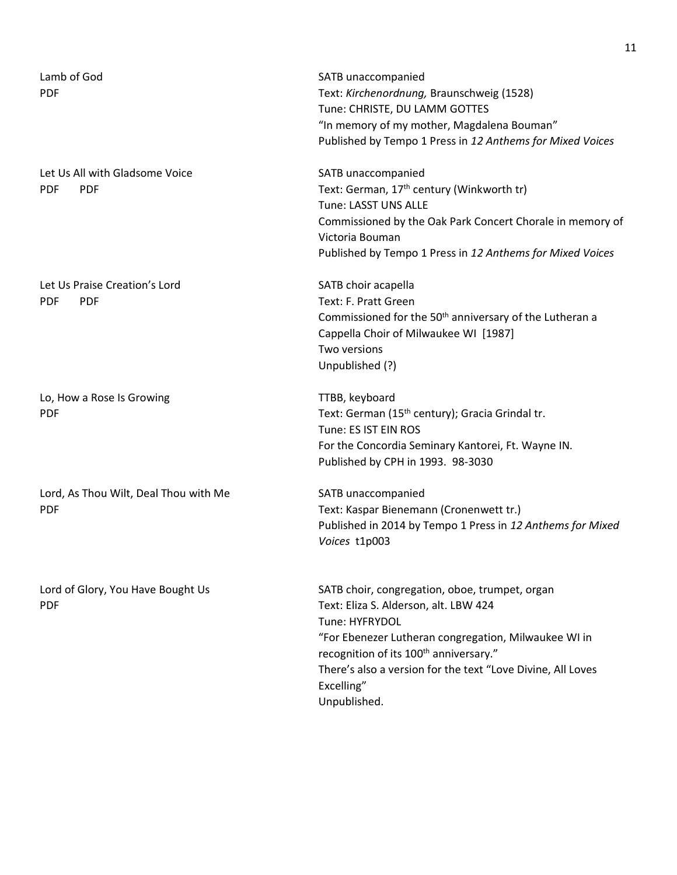| Lamb of God<br><b>PDF</b>                                  | SATB unaccompanied<br>Text: Kirchenordnung, Braunschweig (1528)<br>Tune: CHRISTE, DU LAMM GOTTES<br>"In memory of my mother, Magdalena Bouman"<br>Published by Tempo 1 Press in 12 Anthems for Mixed Voices                                                                                                          |
|------------------------------------------------------------|----------------------------------------------------------------------------------------------------------------------------------------------------------------------------------------------------------------------------------------------------------------------------------------------------------------------|
| Let Us All with Gladsome Voice<br><b>PDF</b><br><b>PDF</b> | SATB unaccompanied<br>Text: German, 17 <sup>th</sup> century (Winkworth tr)<br>Tune: LASST UNS ALLE<br>Commissioned by the Oak Park Concert Chorale in memory of<br>Victoria Bouman<br>Published by Tempo 1 Press in 12 Anthems for Mixed Voices                                                                     |
| Let Us Praise Creation's Lord<br><b>PDF</b><br><b>PDF</b>  | SATB choir acapella<br>Text: F. Pratt Green<br>Commissioned for the 50 <sup>th</sup> anniversary of the Lutheran a<br>Cappella Choir of Milwaukee WI [1987]<br>Two versions<br>Unpublished (?)                                                                                                                       |
| Lo, How a Rose Is Growing<br><b>PDF</b>                    | TTBB, keyboard<br>Text: German (15 <sup>th</sup> century); Gracia Grindal tr.<br>Tune: ES IST EIN ROS<br>For the Concordia Seminary Kantorei, Ft. Wayne IN.<br>Published by CPH in 1993. 98-3030                                                                                                                     |
| Lord, As Thou Wilt, Deal Thou with Me<br><b>PDF</b>        | SATB unaccompanied<br>Text: Kaspar Bienemann (Cronenwett tr.)<br>Published in 2014 by Tempo 1 Press in 12 Anthems for Mixed<br>Voices t1p003                                                                                                                                                                         |
| Lord of Glory, You Have Bought Us<br><b>PDF</b>            | SATB choir, congregation, oboe, trumpet, organ<br>Text: Eliza S. Alderson, alt. LBW 424<br>Tune: HYFRYDOL<br>"For Ebenezer Lutheran congregation, Milwaukee WI in<br>recognition of its 100 <sup>th</sup> anniversary."<br>There's also a version for the text "Love Divine, All Loves<br>Excelling"<br>Unpublished. |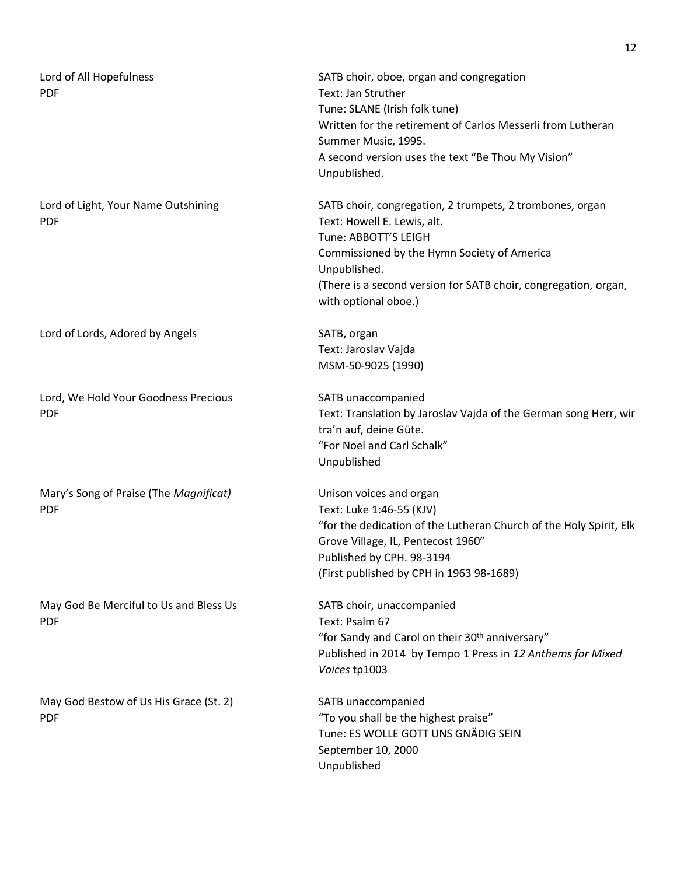| Lord of All Hopefulness<br><b>PDF</b>                | SATB choir, oboe, organ and congregation<br>Text: Jan Struther<br>Tune: SLANE (Irish folk tune)<br>Written for the retirement of Carlos Messerli from Lutheran<br>Summer Music, 1995.<br>A second version uses the text "Be Thou My Vision"<br>Unpublished.               |
|------------------------------------------------------|---------------------------------------------------------------------------------------------------------------------------------------------------------------------------------------------------------------------------------------------------------------------------|
| Lord of Light, Your Name Outshining<br><b>PDF</b>    | SATB choir, congregation, 2 trumpets, 2 trombones, organ<br>Text: Howell E. Lewis, alt.<br>Tune: ABBOTT'S LEIGH<br>Commissioned by the Hymn Society of America<br>Unpublished.<br>(There is a second version for SATB choir, congregation, organ,<br>with optional oboe.) |
| Lord of Lords, Adored by Angels                      | SATB, organ<br>Text: Jaroslav Vajda<br>MSM-50-9025 (1990)                                                                                                                                                                                                                 |
| Lord, We Hold Your Goodness Precious<br><b>PDF</b>   | SATB unaccompanied<br>Text: Translation by Jaroslav Vajda of the German song Herr, wir<br>tra'n auf, deine Güte.<br>"For Noel and Carl Schalk"<br>Unpublished                                                                                                             |
| Mary's Song of Praise (The Magnificat)<br><b>PDF</b> | Unison voices and organ<br>Text: Luke 1:46-55 (KJV)<br>"for the dedication of the Lutheran Church of the Holy Spirit, Elk<br>Grove Village, IL, Pentecost 1960"<br>Published by CPH. 98-3194<br>(First published by CPH in 1963 98-1689)                                  |
| May God Be Merciful to Us and Bless Us<br><b>PDF</b> | SATB choir, unaccompanied<br>Text: Psalm 67<br>"for Sandy and Carol on their 30 <sup>th</sup> anniversary"<br>Published in 2014 by Tempo 1 Press in 12 Anthems for Mixed<br>Voices tp1003                                                                                 |
| May God Bestow of Us His Grace (St. 2)<br><b>PDF</b> | SATB unaccompanied<br>"To you shall be the highest praise"<br>Tune: ES WOLLE GOTT UNS GNÄDIG SEIN<br>September 10, 2000<br>Unpublished                                                                                                                                    |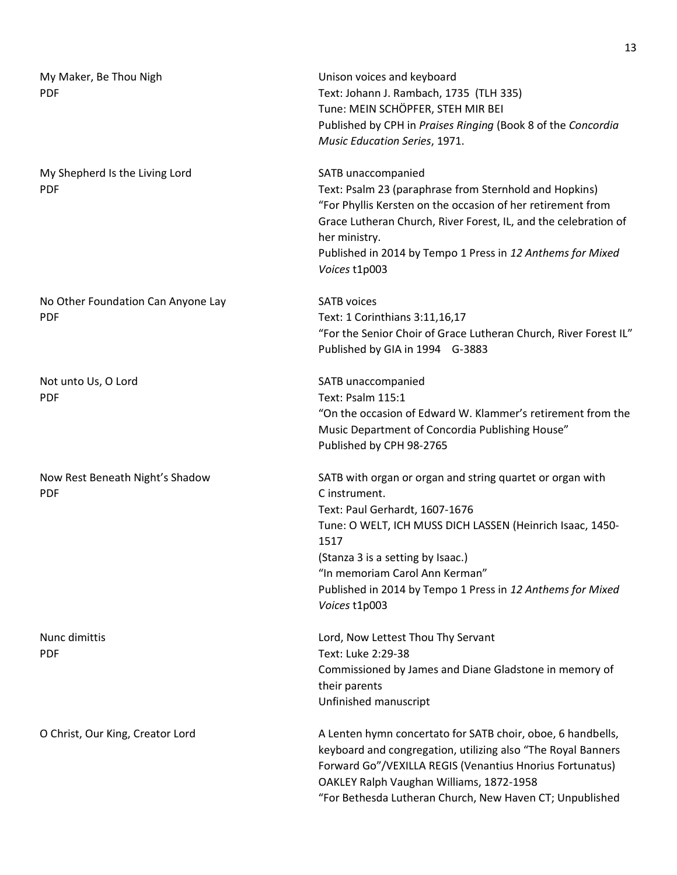| My Maker, Be Thou Nigh<br><b>PDF</b>             | Unison voices and keyboard<br>Text: Johann J. Rambach, 1735 (TLH 335)<br>Tune: MEIN SCHÖPFER, STEH MIR BEI<br>Published by CPH in Praises Ringing (Book 8 of the Concordia<br>Music Education Series, 1971.                                                                                                                             |
|--------------------------------------------------|-----------------------------------------------------------------------------------------------------------------------------------------------------------------------------------------------------------------------------------------------------------------------------------------------------------------------------------------|
| My Shepherd Is the Living Lord<br><b>PDF</b>     | SATB unaccompanied<br>Text: Psalm 23 (paraphrase from Sternhold and Hopkins)<br>"For Phyllis Kersten on the occasion of her retirement from<br>Grace Lutheran Church, River Forest, IL, and the celebration of<br>her ministry.<br>Published in 2014 by Tempo 1 Press in 12 Anthems for Mixed<br>Voices t1p003                          |
| No Other Foundation Can Anyone Lay<br><b>PDF</b> | <b>SATB</b> voices<br>Text: 1 Corinthians 3:11,16,17<br>"For the Senior Choir of Grace Lutheran Church, River Forest IL"<br>Published by GIA in 1994 G-3883                                                                                                                                                                             |
| Not unto Us, O Lord<br><b>PDF</b>                | SATB unaccompanied<br>Text: Psalm 115:1<br>"On the occasion of Edward W. Klammer's retirement from the<br>Music Department of Concordia Publishing House"<br>Published by CPH 98-2765                                                                                                                                                   |
| Now Rest Beneath Night's Shadow<br><b>PDF</b>    | SATB with organ or organ and string quartet or organ with<br>C instrument.<br>Text: Paul Gerhardt, 1607-1676<br>Tune: O WELT, ICH MUSS DICH LASSEN (Heinrich Isaac, 1450-<br>1517<br>(Stanza 3 is a setting by Isaac.)<br>"In memoriam Carol Ann Kerman"<br>Published in 2014 by Tempo 1 Press in 12 Anthems for Mixed<br>Voices t1p003 |
| Nunc dimittis<br><b>PDF</b>                      | Lord, Now Lettest Thou Thy Servant<br>Text: Luke 2:29-38<br>Commissioned by James and Diane Gladstone in memory of<br>their parents<br>Unfinished manuscript                                                                                                                                                                            |
| O Christ, Our King, Creator Lord                 | A Lenten hymn concertato for SATB choir, oboe, 6 handbells,<br>keyboard and congregation, utilizing also "The Royal Banners<br>Forward Go"/VEXILLA REGIS (Venantius Hnorius Fortunatus)<br>OAKLEY Ralph Vaughan Williams, 1872-1958<br>"For Bethesda Lutheran Church, New Haven CT; Unpublished                                         |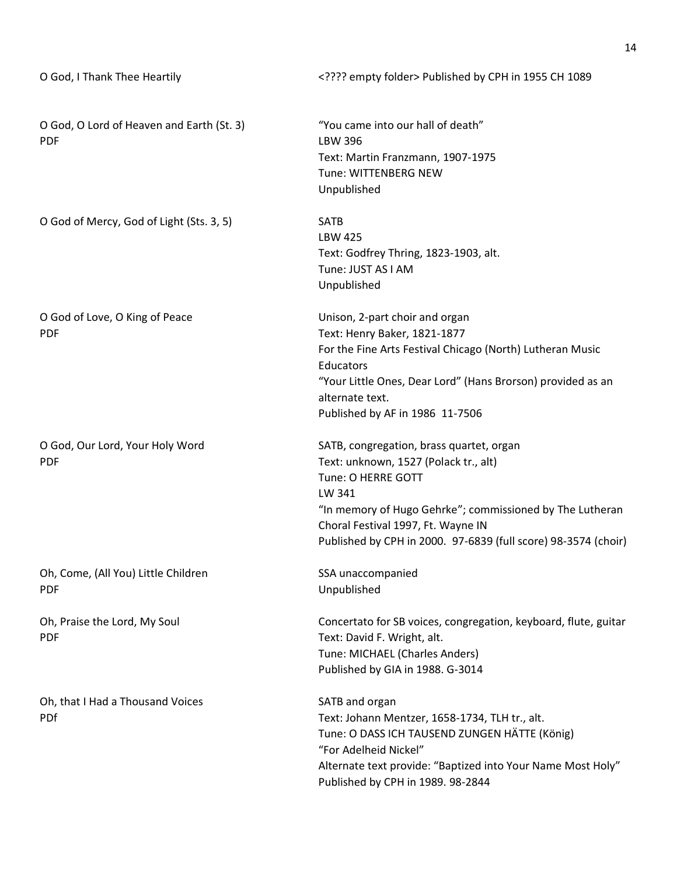| O God, I Thank Thee Heartily                            | ??? empty folder Published by CPH in 1955 CH 1089                                                                                                                                                                                                                                     |
|---------------------------------------------------------|---------------------------------------------------------------------------------------------------------------------------------------------------------------------------------------------------------------------------------------------------------------------------------------|
| O God, O Lord of Heaven and Earth (St. 3)<br><b>PDF</b> | "You came into our hall of death"<br><b>LBW 396</b><br>Text: Martin Franzmann, 1907-1975<br>Tune: WITTENBERG NEW<br>Unpublished                                                                                                                                                       |
| O God of Mercy, God of Light (Sts. 3, 5)                | <b>SATB</b><br><b>LBW 425</b><br>Text: Godfrey Thring, 1823-1903, alt.<br>Tune: JUST AS I AM<br>Unpublished                                                                                                                                                                           |
| O God of Love, O King of Peace<br><b>PDF</b>            | Unison, 2-part choir and organ<br>Text: Henry Baker, 1821-1877<br>For the Fine Arts Festival Chicago (North) Lutheran Music<br>Educators<br>"Your Little Ones, Dear Lord" (Hans Brorson) provided as an<br>alternate text.<br>Published by AF in 1986 11-7506                         |
| O God, Our Lord, Your Holy Word<br><b>PDF</b>           | SATB, congregation, brass quartet, organ<br>Text: unknown, 1527 (Polack tr., alt)<br>Tune: O HERRE GOTT<br>LW 341<br>"In memory of Hugo Gehrke"; commissioned by The Lutheran<br>Choral Festival 1997, Ft. Wayne IN<br>Published by CPH in 2000. 97-6839 (full score) 98-3574 (choir) |
| Oh, Come, (All You) Little Children<br><b>PDF</b>       | SSA unaccompanied<br>Unpublished                                                                                                                                                                                                                                                      |
| Oh, Praise the Lord, My Soul<br><b>PDF</b>              | Concertato for SB voices, congregation, keyboard, flute, guitar<br>Text: David F. Wright, alt.<br>Tune: MICHAEL (Charles Anders)<br>Published by GIA in 1988. G-3014                                                                                                                  |
| Oh, that I Had a Thousand Voices<br><b>PDf</b>          | SATB and organ<br>Text: Johann Mentzer, 1658-1734, TLH tr., alt.<br>Tune: O DASS ICH TAUSEND ZUNGEN HÄTTE (König)<br>"For Adelheid Nickel"<br>Alternate text provide: "Baptized into Your Name Most Holy"<br>Published by CPH in 1989. 98-2844                                        |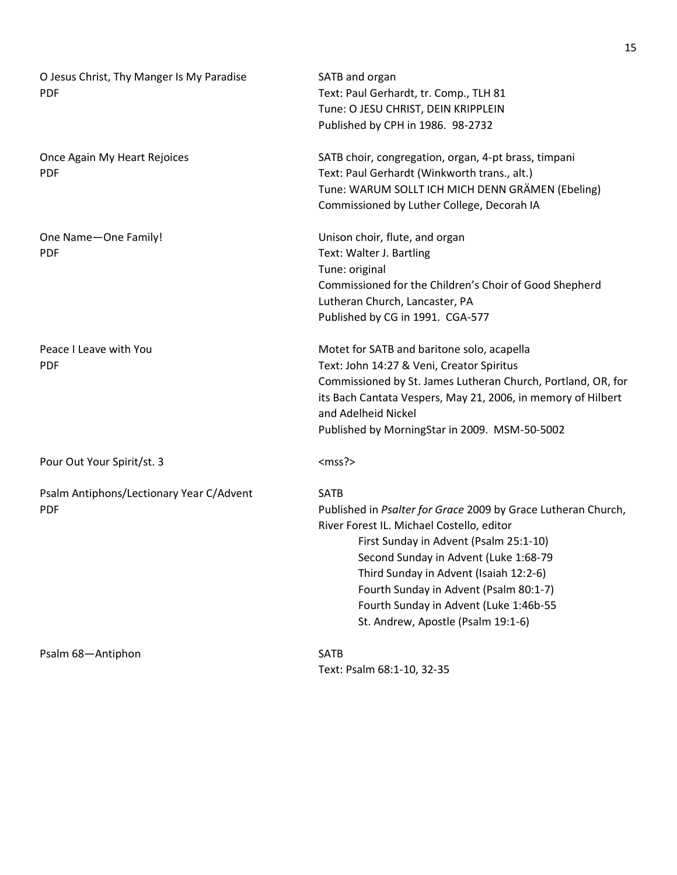| O Jesus Christ, Thy Manger Is My Paradise<br><b>PDF</b> | SATB and organ<br>Text: Paul Gerhardt, tr. Comp., TLH 81<br>Tune: O JESU CHRIST, DEIN KRIPPLEIN<br>Published by CPH in 1986. 98-2732                                                                                                                                                                                                                                             |
|---------------------------------------------------------|----------------------------------------------------------------------------------------------------------------------------------------------------------------------------------------------------------------------------------------------------------------------------------------------------------------------------------------------------------------------------------|
| Once Again My Heart Rejoices<br><b>PDF</b>              | SATB choir, congregation, organ, 4-pt brass, timpani<br>Text: Paul Gerhardt (Winkworth trans., alt.)<br>Tune: WARUM SOLLT ICH MICH DENN GRÄMEN (Ebeling)<br>Commissioned by Luther College, Decorah IA                                                                                                                                                                           |
| One Name-One Family!<br><b>PDF</b>                      | Unison choir, flute, and organ<br>Text: Walter J. Bartling<br>Tune: original<br>Commissioned for the Children's Choir of Good Shepherd<br>Lutheran Church, Lancaster, PA<br>Published by CG in 1991. CGA-577                                                                                                                                                                     |
| Peace I Leave with You<br><b>PDF</b>                    | Motet for SATB and baritone solo, acapella<br>Text: John 14:27 & Veni, Creator Spiritus<br>Commissioned by St. James Lutheran Church, Portland, OR, for<br>its Bach Cantata Vespers, May 21, 2006, in memory of Hilbert<br>and Adelheid Nickel<br>Published by MorningStar in 2009. MSM-50-5002                                                                                  |
| Pour Out Your Spirit/st. 3                              | $<$ mss? $>$                                                                                                                                                                                                                                                                                                                                                                     |
| Psalm Antiphons/Lectionary Year C/Advent<br><b>PDF</b>  | <b>SATB</b><br>Published in Psalter for Grace 2009 by Grace Lutheran Church,<br>River Forest IL. Michael Costello, editor<br>First Sunday in Advent (Psalm 25:1-10)<br>Second Sunday in Advent (Luke 1:68-79<br>Third Sunday in Advent (Isaiah 12:2-6)<br>Fourth Sunday in Advent (Psalm 80:1-7)<br>Fourth Sunday in Advent (Luke 1:46b-55<br>St. Andrew, Apostle (Psalm 19:1-6) |
| Psalm 68-Antiphon                                       | SATB<br>Text: Psalm 68:1-10, 32-35                                                                                                                                                                                                                                                                                                                                               |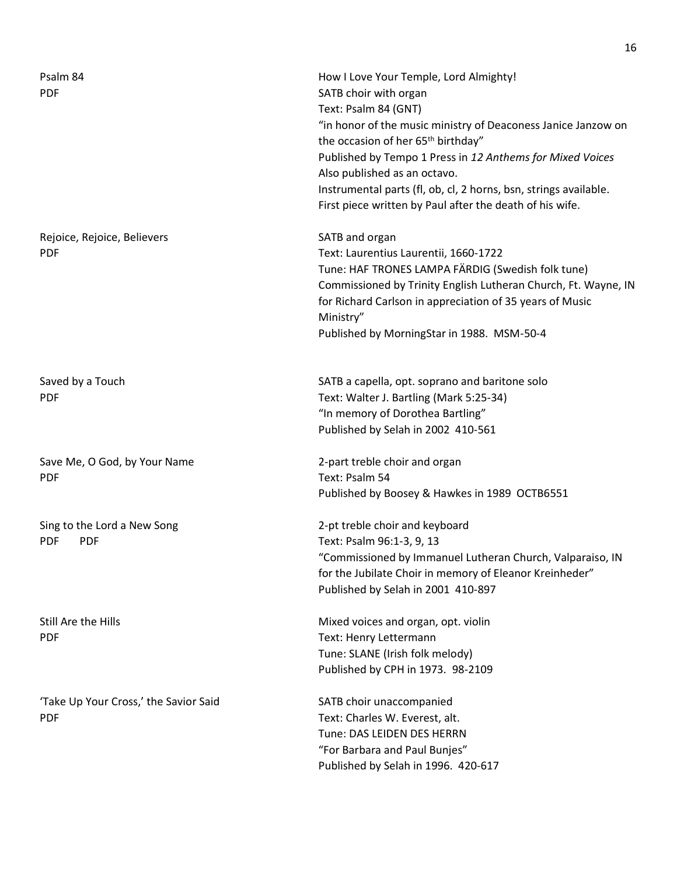| Psalm 84<br><b>PDF</b>                                  | How I Love Your Temple, Lord Almighty!<br>SATB choir with organ<br>Text: Psalm 84 (GNT)<br>"in honor of the music ministry of Deaconess Janice Janzow on<br>the occasion of her 65 <sup>th</sup> birthday"<br>Published by Tempo 1 Press in 12 Anthems for Mixed Voices<br>Also published as an octavo.<br>Instrumental parts (fl, ob, cl, 2 horns, bsn, strings available.<br>First piece written by Paul after the death of his wife. |
|---------------------------------------------------------|-----------------------------------------------------------------------------------------------------------------------------------------------------------------------------------------------------------------------------------------------------------------------------------------------------------------------------------------------------------------------------------------------------------------------------------------|
| Rejoice, Rejoice, Believers<br><b>PDF</b>               | SATB and organ<br>Text: Laurentius Laurentii, 1660-1722<br>Tune: HAF TRONES LAMPA FÄRDIG (Swedish folk tune)<br>Commissioned by Trinity English Lutheran Church, Ft. Wayne, IN<br>for Richard Carlson in appreciation of 35 years of Music<br>Ministry"<br>Published by MorningStar in 1988. MSM-50-4                                                                                                                                   |
| Saved by a Touch<br><b>PDF</b>                          | SATB a capella, opt. soprano and baritone solo<br>Text: Walter J. Bartling (Mark 5:25-34)<br>"In memory of Dorothea Bartling"<br>Published by Selah in 2002 410-561                                                                                                                                                                                                                                                                     |
| Save Me, O God, by Your Name<br><b>PDF</b>              | 2-part treble choir and organ<br>Text: Psalm 54<br>Published by Boosey & Hawkes in 1989 OCTB6551                                                                                                                                                                                                                                                                                                                                        |
| Sing to the Lord a New Song<br><b>PDF</b><br><b>PDF</b> | 2-pt treble choir and keyboard<br>Text: Psalm 96:1-3, 9, 13<br>"Commissioned by Immanuel Lutheran Church, Valparaiso, IN<br>for the Jubilate Choir in memory of Eleanor Kreinheder"<br>Published by Selah in 2001 410-897                                                                                                                                                                                                               |
| Still Are the Hills<br><b>PDF</b>                       | Mixed voices and organ, opt. violin<br>Text: Henry Lettermann<br>Tune: SLANE (Irish folk melody)<br>Published by CPH in 1973. 98-2109                                                                                                                                                                                                                                                                                                   |
| 'Take Up Your Cross,' the Savior Said<br><b>PDF</b>     | SATB choir unaccompanied<br>Text: Charles W. Everest, alt.<br>Tune: DAS LEIDEN DES HERRN<br>"For Barbara and Paul Bunjes"<br>Published by Selah in 1996. 420-617                                                                                                                                                                                                                                                                        |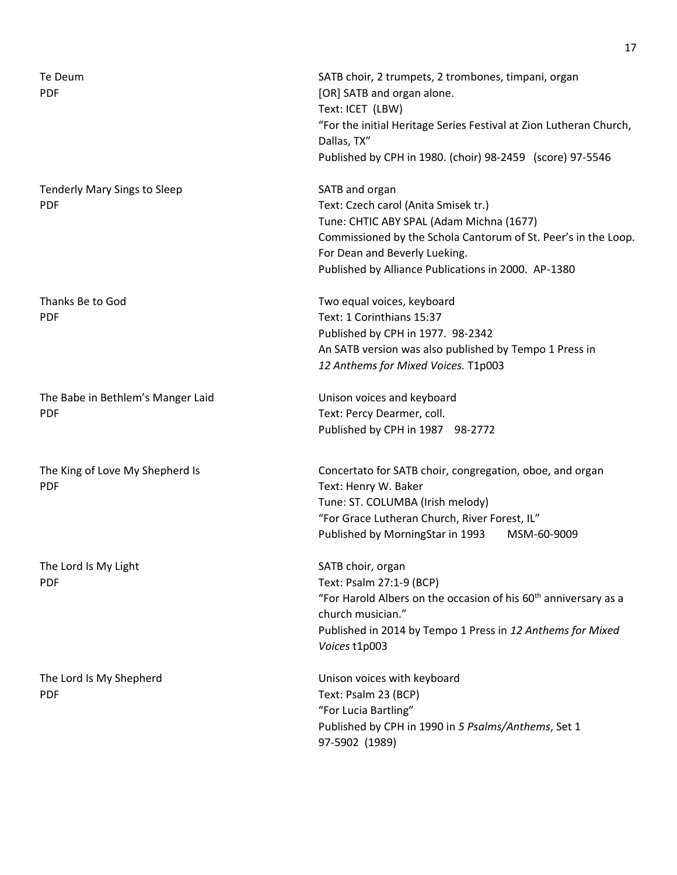| Te Deum<br><b>PDF</b>                             | SATB choir, 2 trumpets, 2 trombones, timpani, organ<br>[OR] SATB and organ alone.<br>Text: ICET (LBW)<br>"For the initial Heritage Series Festival at Zion Lutheran Church,<br>Dallas, TX"<br>Published by CPH in 1980. (choir) 98-2459 (score) 97-5546      |
|---------------------------------------------------|--------------------------------------------------------------------------------------------------------------------------------------------------------------------------------------------------------------------------------------------------------------|
| <b>Tenderly Mary Sings to Sleep</b><br><b>PDF</b> | SATB and organ<br>Text: Czech carol (Anita Smisek tr.)<br>Tune: CHTIC ABY SPAL (Adam Michna (1677)<br>Commissioned by the Schola Cantorum of St. Peer's in the Loop.<br>For Dean and Beverly Lueking.<br>Published by Alliance Publications in 2000. AP-1380 |
| Thanks Be to God<br><b>PDF</b>                    | Two equal voices, keyboard<br>Text: 1 Corinthians 15:37<br>Published by CPH in 1977. 98-2342<br>An SATB version was also published by Tempo 1 Press in<br>12 Anthems for Mixed Voices. T1p003                                                                |
| The Babe in Bethlem's Manger Laid<br><b>PDF</b>   | Unison voices and keyboard<br>Text: Percy Dearmer, coll.<br>Published by CPH in 1987 98-2772                                                                                                                                                                 |
| The King of Love My Shepherd Is<br><b>PDF</b>     | Concertato for SATB choir, congregation, oboe, and organ<br>Text: Henry W. Baker<br>Tune: ST. COLUMBA (Irish melody)<br>"For Grace Lutheran Church, River Forest, IL"<br>Published by MorningStar in 1993<br>MSM-60-9009                                     |
| The Lord Is My Light<br><b>PDF</b>                | SATB choir, organ<br>Text: Psalm 27:1-9 (BCP)<br>"For Harold Albers on the occasion of his 60 <sup>th</sup> anniversary as a<br>church musician."<br>Published in 2014 by Tempo 1 Press in 12 Anthems for Mixed<br>Voices t1p003                             |
| The Lord Is My Shepherd<br><b>PDF</b>             | Unison voices with keyboard<br>Text: Psalm 23 (BCP)<br>"For Lucia Bartling"<br>Published by CPH in 1990 in 5 Psalms/Anthems, Set 1<br>97-5902 (1989)                                                                                                         |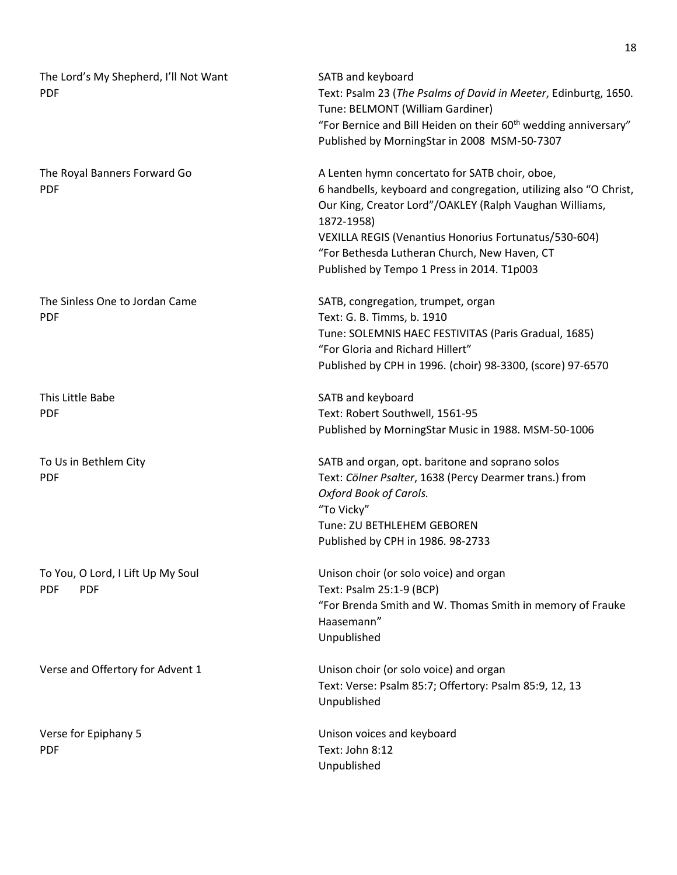| The Lord's My Shepherd, I'll Not Want<br><b>PDF</b>           | SATB and keyboard<br>Text: Psalm 23 (The Psalms of David in Meeter, Edinburtg, 1650.<br>Tune: BELMONT (William Gardiner)<br>"For Bernice and Bill Heiden on their 60 <sup>th</sup> wedding anniversary"<br>Published by MorningStar in 2008 MSM-50-7307                                                                                             |
|---------------------------------------------------------------|-----------------------------------------------------------------------------------------------------------------------------------------------------------------------------------------------------------------------------------------------------------------------------------------------------------------------------------------------------|
| The Royal Banners Forward Go<br><b>PDF</b>                    | A Lenten hymn concertato for SATB choir, oboe,<br>6 handbells, keyboard and congregation, utilizing also "O Christ,<br>Our King, Creator Lord"/OAKLEY (Ralph Vaughan Williams,<br>1872-1958)<br>VEXILLA REGIS (Venantius Honorius Fortunatus/530-604)<br>"For Bethesda Lutheran Church, New Haven, CT<br>Published by Tempo 1 Press in 2014. T1p003 |
| The Sinless One to Jordan Came<br><b>PDF</b>                  | SATB, congregation, trumpet, organ<br>Text: G. B. Timms, b. 1910<br>Tune: SOLEMNIS HAEC FESTIVITAS (Paris Gradual, 1685)<br>"For Gloria and Richard Hillert"<br>Published by CPH in 1996. (choir) 98-3300, (score) 97-6570                                                                                                                          |
| This Little Babe<br><b>PDF</b>                                | SATB and keyboard<br>Text: Robert Southwell, 1561-95<br>Published by MorningStar Music in 1988. MSM-50-1006                                                                                                                                                                                                                                         |
| To Us in Bethlem City<br><b>PDF</b>                           | SATB and organ, opt. baritone and soprano solos<br>Text: Cölner Psalter, 1638 (Percy Dearmer trans.) from<br><b>Oxford Book of Carols.</b><br>"To Vicky"<br>Tune: ZU BETHLEHEM GEBOREN<br>Published by CPH in 1986. 98-2733                                                                                                                         |
| To You, O Lord, I Lift Up My Soul<br><b>PDF</b><br><b>PDF</b> | Unison choir (or solo voice) and organ<br>Text: Psalm 25:1-9 (BCP)<br>"For Brenda Smith and W. Thomas Smith in memory of Frauke<br>Haasemann"<br>Unpublished                                                                                                                                                                                        |
| Verse and Offertory for Advent 1                              | Unison choir (or solo voice) and organ<br>Text: Verse: Psalm 85:7; Offertory: Psalm 85:9, 12, 13<br>Unpublished                                                                                                                                                                                                                                     |
| Verse for Epiphany 5<br><b>PDF</b>                            | Unison voices and keyboard<br>Text: John 8:12<br>Unpublished                                                                                                                                                                                                                                                                                        |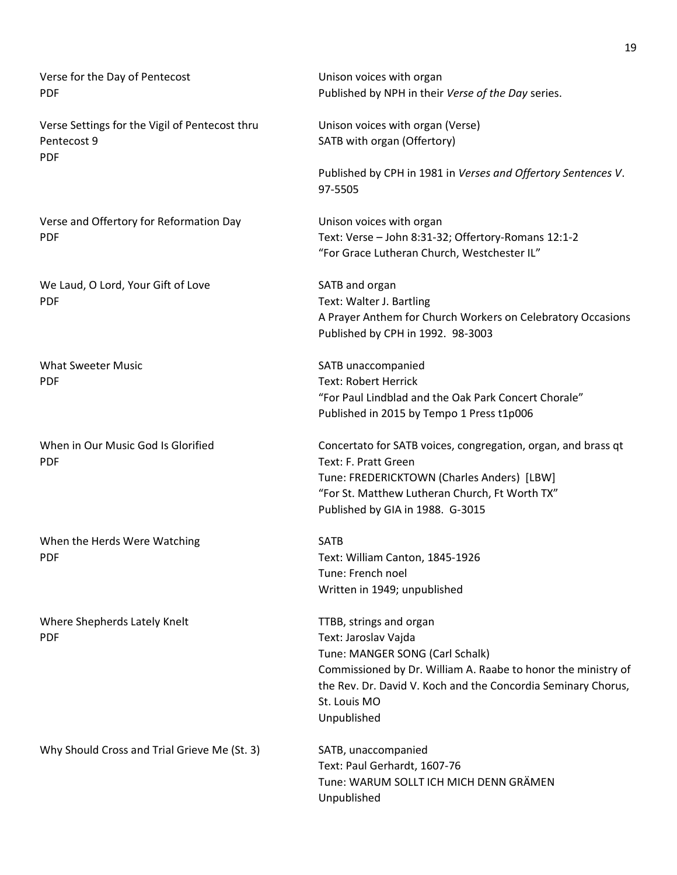Verse for the Day of Pentecost **Exercise 20 Unison voices with organ** PDF Published by NPH in their *Verse of the Day* series. Verse Settings for the Vigil of Pentecost thru Unison voices with organ (Verse) Pentecost 9 SATB with organ (Offertory) PDF Published by CPH in 1981 in *Verses and Offertory Sentences V*. 97-5505 Verse and Offertory for Reformation Day Unison voices with organ PDF Text: Verse – John 8:31-32; Offertory-Romans 12:1-2 "For Grace Lutheran Church, Westchester IL" We Laud, O Lord, Your Gift of Love SATB and organ PDF Text: Walter J. Bartling A Prayer Anthem for Church Workers on Celebratory Occasions Published by CPH in 1992. 98-3003 What Sweeter Music **SATB** unaccompanied PDF Text: Robert Herrick "For Paul Lindblad and the Oak Park Concert Chorale" Published in 2015 by Tempo 1 Press t1p006 When in Our Music God Is Glorified **Concertato for SATB voices, congregation**, organ, and brass qt PDF Text: F. Pratt Green Tune: FREDERICKTOWN (Charles Anders) [LBW] "For St. Matthew Lutheran Church, Ft Worth TX" Published by GIA in 1988. G-3015 When the Herds Were Watching SATB PDF Text: William Canton, 1845-1926 Tune: French noel Written in 1949; unpublished Where Shepherds Lately Knelt TTBB, strings and organ PDF Text: Jaroslav Vajda Tune: MANGER SONG (Carl Schalk) Commissioned by Dr. William A. Raabe to honor the ministry of the Rev. Dr. David V. Koch and the Concordia Seminary Chorus, St. Louis MO Unpublished Why Should Cross and Trial Grieve Me (St. 3) SATB, unaccompanied Text: Paul Gerhardt, 1607-76 Tune: WARUM SOLLT ICH MICH DENN GRÄMEN Unpublished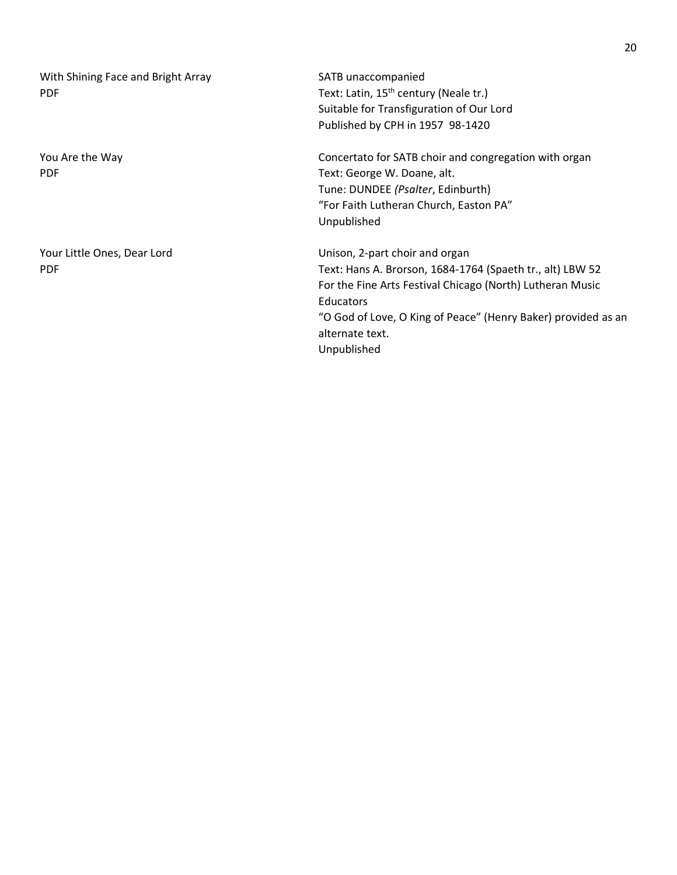With Shining Face and Bright Array SATB unaccompanied PDF Text: Latin, 15<sup>th</sup> century (Neale tr.)

Your Little Ones, Dear Lord Unison, 2-part choir and organ

Suitable for Transfiguration of Our Lord Published by CPH in 1957 98-1420

You Are the Way North Concertato for SATB choir and congregation with organ PDF Text: George W. Doane, alt. Tune: DUNDEE *(Psalter*, Edinburth) "For Faith Lutheran Church, Easton PA" Unpublished

PDF Text: Hans A. Brorson, 1684-1764 (Spaeth tr., alt) LBW 52 For the Fine Arts Festival Chicago (North) Lutheran Music **Educators** "O God of Love, O King of Peace" (Henry Baker) provided as an alternate text. Unpublished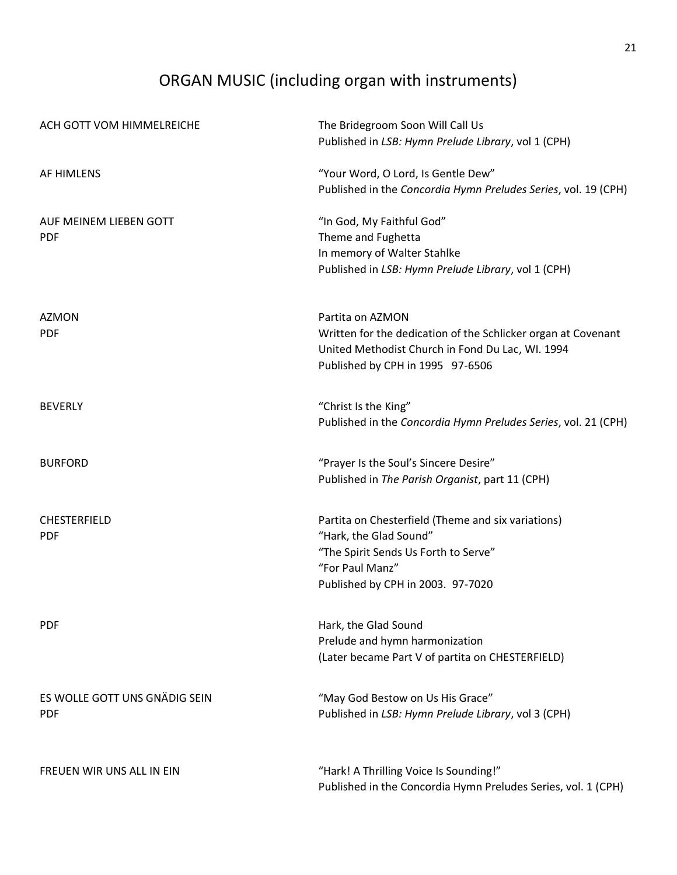# ORGAN MUSIC (including organ with instruments)

| ACH GOTT VOM HIMMELREICHE     | The Bridegroom Soon Will Call Us<br>Published in LSB: Hymn Prelude Library, vol 1 (CPH) |
|-------------------------------|-----------------------------------------------------------------------------------------|
| AF HIMLENS                    | "Your Word, O Lord, Is Gentle Dew"                                                      |
|                               | Published in the Concordia Hymn Preludes Series, vol. 19 (CPH)                          |
| AUF MEINEM LIEBEN GOTT        | "In God, My Faithful God"                                                               |
| <b>PDF</b>                    | Theme and Fughetta                                                                      |
|                               | In memory of Walter Stahlke                                                             |
|                               | Published in LSB: Hymn Prelude Library, vol 1 (CPH)                                     |
| <b>AZMON</b>                  | Partita on AZMON                                                                        |
| <b>PDF</b>                    | Written for the dedication of the Schlicker organ at Covenant                           |
|                               | United Methodist Church in Fond Du Lac, WI. 1994                                        |
|                               | Published by CPH in 1995 97-6506                                                        |
| <b>BEVERLY</b>                | "Christ Is the King"                                                                    |
|                               | Published in the Concordia Hymn Preludes Series, vol. 21 (CPH)                          |
| <b>BURFORD</b>                | "Prayer Is the Soul's Sincere Desire"                                                   |
|                               | Published in The Parish Organist, part 11 (CPH)                                         |
| CHESTERFIELD                  | Partita on Chesterfield (Theme and six variations)                                      |
| <b>PDF</b>                    | "Hark, the Glad Sound"                                                                  |
|                               | "The Spirit Sends Us Forth to Serve"                                                    |
|                               | "For Paul Manz"                                                                         |
|                               | Published by CPH in 2003. 97-7020                                                       |
| <b>PDF</b>                    | Hark, the Glad Sound                                                                    |
|                               | Prelude and hymn harmonization                                                          |
|                               | (Later became Part V of partita on CHESTERFIELD)                                        |
| ES WOLLE GOTT UNS GNÄDIG SEIN | "May God Bestow on Us His Grace"                                                        |
| <b>PDF</b>                    | Published in LSB: Hymn Prelude Library, vol 3 (CPH)                                     |
| FREUEN WIR UNS ALL IN EIN     | "Hark! A Thrilling Voice Is Sounding!"                                                  |
|                               | Published in the Concordia Hymn Preludes Series, vol. 1 (CPH)                           |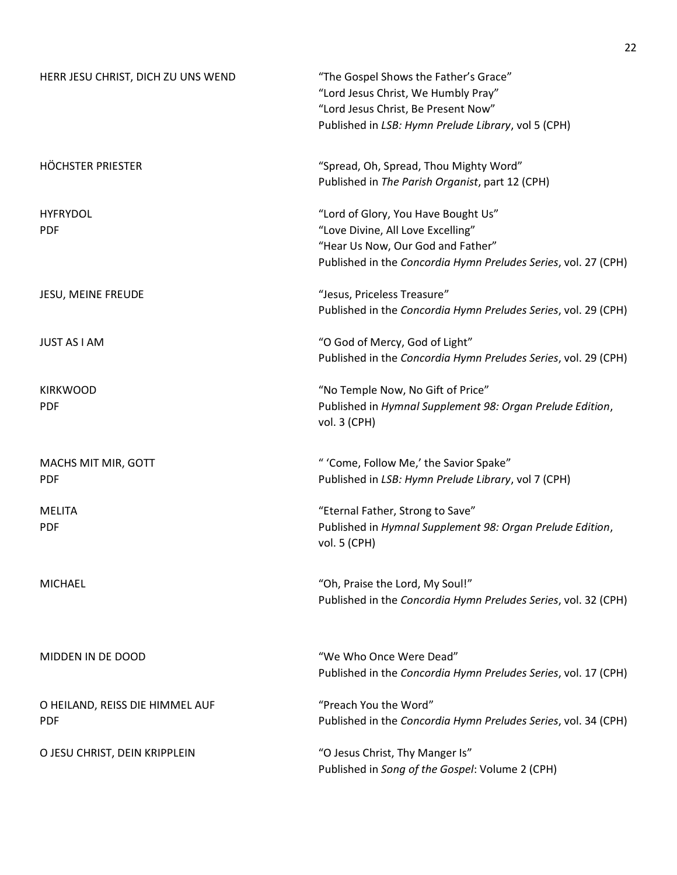| HERR JESU CHRIST, DICH ZU UNS WEND            | "The Gospel Shows the Father's Grace"<br>"Lord Jesus Christ, We Humbly Pray"<br>"Lord Jesus Christ, Be Present Now"<br>Published in LSB: Hymn Prelude Library, vol 5 (CPH)      |
|-----------------------------------------------|---------------------------------------------------------------------------------------------------------------------------------------------------------------------------------|
| HÖCHSTER PRIESTER                             | "Spread, Oh, Spread, Thou Mighty Word"<br>Published in The Parish Organist, part 12 (CPH)                                                                                       |
| <b>HYFRYDOL</b><br><b>PDF</b>                 | "Lord of Glory, You Have Bought Us"<br>"Love Divine, All Love Excelling"<br>"Hear Us Now, Our God and Father"<br>Published in the Concordia Hymn Preludes Series, vol. 27 (CPH) |
| JESU, MEINE FREUDE                            | "Jesus, Priceless Treasure"<br>Published in the Concordia Hymn Preludes Series, vol. 29 (CPH)                                                                                   |
| <b>JUST AS I AM</b>                           | "O God of Mercy, God of Light"<br>Published in the Concordia Hymn Preludes Series, vol. 29 (CPH)                                                                                |
| <b>KIRKWOOD</b><br><b>PDF</b>                 | "No Temple Now, No Gift of Price"<br>Published in Hymnal Supplement 98: Organ Prelude Edition,<br>vol. 3 (CPH)                                                                  |
| MACHS MIT MIR, GOTT<br><b>PDF</b>             | " 'Come, Follow Me,' the Savior Spake"<br>Published in LSB: Hymn Prelude Library, vol 7 (CPH)                                                                                   |
| <b>MELITA</b><br><b>PDF</b>                   | "Eternal Father, Strong to Save"<br>Published in Hymnal Supplement 98: Organ Prelude Edition,<br>vol. 5 (CPH)                                                                   |
| <b>MICHAEL</b>                                | "Oh, Praise the Lord, My Soul!"<br>Published in the Concordia Hymn Preludes Series, vol. 32 (CPH)                                                                               |
| MIDDEN IN DE DOOD                             | "We Who Once Were Dead"<br>Published in the Concordia Hymn Preludes Series, vol. 17 (CPH)                                                                                       |
| O HEILAND, REISS DIE HIMMEL AUF<br><b>PDF</b> | "Preach You the Word"<br>Published in the Concordia Hymn Preludes Series, vol. 34 (CPH)                                                                                         |
| O JESU CHRIST, DEIN KRIPPLEIN                 | "O Jesus Christ, Thy Manger Is"<br>Published in Song of the Gospel: Volume 2 (CPH)                                                                                              |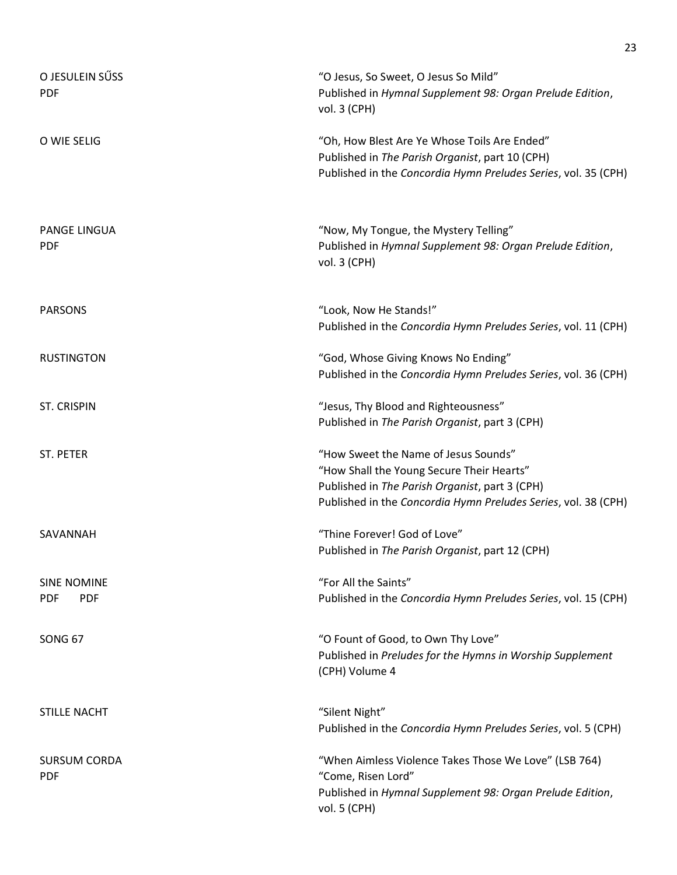| O JESULEIN SŰSS<br><b>PDF</b>                  | "O Jesus, So Sweet, O Jesus So Mild"<br>Published in Hymnal Supplement 98: Organ Prelude Edition,<br>vol. 3 (CPH)                                                                                     |
|------------------------------------------------|-------------------------------------------------------------------------------------------------------------------------------------------------------------------------------------------------------|
| O WIE SELIG                                    | "Oh, How Blest Are Ye Whose Toils Are Ended"<br>Published in The Parish Organist, part 10 (CPH)<br>Published in the Concordia Hymn Preludes Series, vol. 35 (CPH)                                     |
| <b>PANGE LINGUA</b><br><b>PDF</b>              | "Now, My Tongue, the Mystery Telling"<br>Published in Hymnal Supplement 98: Organ Prelude Edition,<br>vol. 3 (CPH)                                                                                    |
| <b>PARSONS</b>                                 | "Look, Now He Stands!"<br>Published in the Concordia Hymn Preludes Series, vol. 11 (CPH)                                                                                                              |
| <b>RUSTINGTON</b>                              | "God, Whose Giving Knows No Ending"<br>Published in the Concordia Hymn Preludes Series, vol. 36 (CPH)                                                                                                 |
| <b>ST. CRISPIN</b>                             | "Jesus, Thy Blood and Righteousness"<br>Published in The Parish Organist, part 3 (CPH)                                                                                                                |
| <b>ST. PETER</b>                               | "How Sweet the Name of Jesus Sounds"<br>"How Shall the Young Secure Their Hearts"<br>Published in The Parish Organist, part 3 (CPH)<br>Published in the Concordia Hymn Preludes Series, vol. 38 (CPH) |
| SAVANNAH                                       | "Thine Forever! God of Love"<br>Published in The Parish Organist, part 12 (CPH)                                                                                                                       |
| <b>SINE NOMINE</b><br><b>PDF</b><br><b>PDF</b> | "For All the Saints"<br>Published in the Concordia Hymn Preludes Series, vol. 15 (CPH)                                                                                                                |
| <b>SONG 67</b>                                 | "O Fount of Good, to Own Thy Love"<br>Published in Preludes for the Hymns in Worship Supplement<br>(CPH) Volume 4                                                                                     |
| <b>STILLE NACHT</b>                            | "Silent Night"<br>Published in the Concordia Hymn Preludes Series, vol. 5 (CPH)                                                                                                                       |
| <b>SURSUM CORDA</b><br><b>PDF</b>              | "When Aimless Violence Takes Those We Love" (LSB 764)<br>"Come, Risen Lord"<br>Published in Hymnal Supplement 98: Organ Prelude Edition,<br>vol. 5 (CPH)                                              |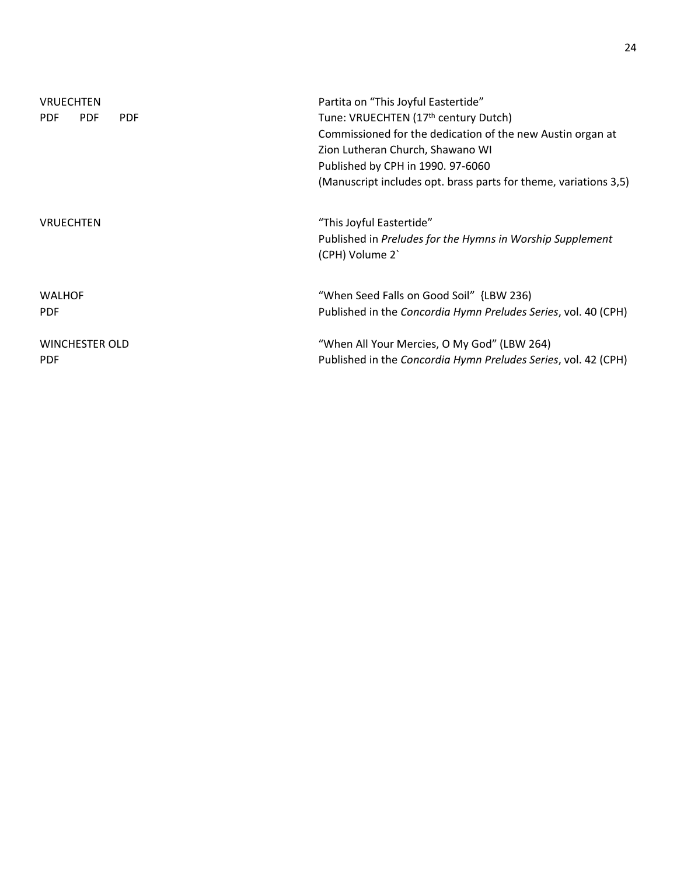| <b>VRUECHTEN</b>                       | Partita on "This Joyful Eastertide"                                          |
|----------------------------------------|------------------------------------------------------------------------------|
| <b>PDF</b><br><b>PDF</b><br><b>PDF</b> | Tune: VRUECHTEN (17 <sup>th</sup> century Dutch)                             |
|                                        | Commissioned for the dedication of the new Austin organ at                   |
|                                        | Zion Lutheran Church, Shawano WI                                             |
|                                        | Published by CPH in 1990. 97-6060                                            |
|                                        | (Manuscript includes opt. brass parts for theme, variations 3,5)             |
| <b>VRUECHTEN</b>                       | "This Joyful Eastertide"                                                     |
|                                        | Published in Preludes for the Hymns in Worship Supplement<br>(CPH) Volume 2' |
| <b>WALHOF</b>                          | "When Seed Falls on Good Soil" {LBW 236)                                     |
| <b>PDF</b>                             | Published in the Concordia Hymn Preludes Series, vol. 40 (CPH)               |
| <b>WINCHESTER OLD</b>                  | "When All Your Mercies, O My God" (LBW 264)                                  |
| <b>PDF</b>                             | Published in the Concordia Hymn Preludes Series, vol. 42 (CPH)               |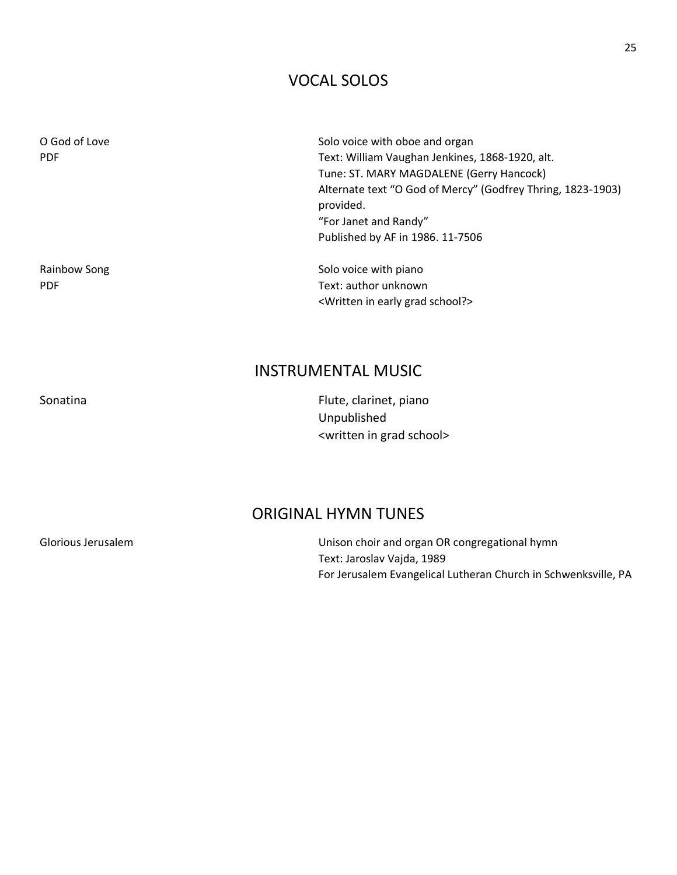### VOCAL SOLOS

O God of Love Solo voice with oboe and organ PDF Text: William Vaughan Jenkines, 1868-1920, alt. Tune: ST. MARY MAGDALENE (Gerry Hancock) Alternate text "O God of Mercy" (Godfrey Thring, 1823-1903) provided. "For Janet and Randy" Published by AF in 1986. 11-7506 Rainbow Song Solo voice with piano

PDF Text: author unknown <Written in early grad school?>

### INSTRUMENTAL MUSIC

Sonatina **Flute**, clarinet, piano Unpublished <written in grad school>

#### ORIGINAL HYMN TUNES

Glorious Jerusalem **Vancies Constructs** Unison choir and organ OR congregational hymn Text: Jaroslav Vajda, 1989 For Jerusalem Evangelical Lutheran Church in Schwenksville, PA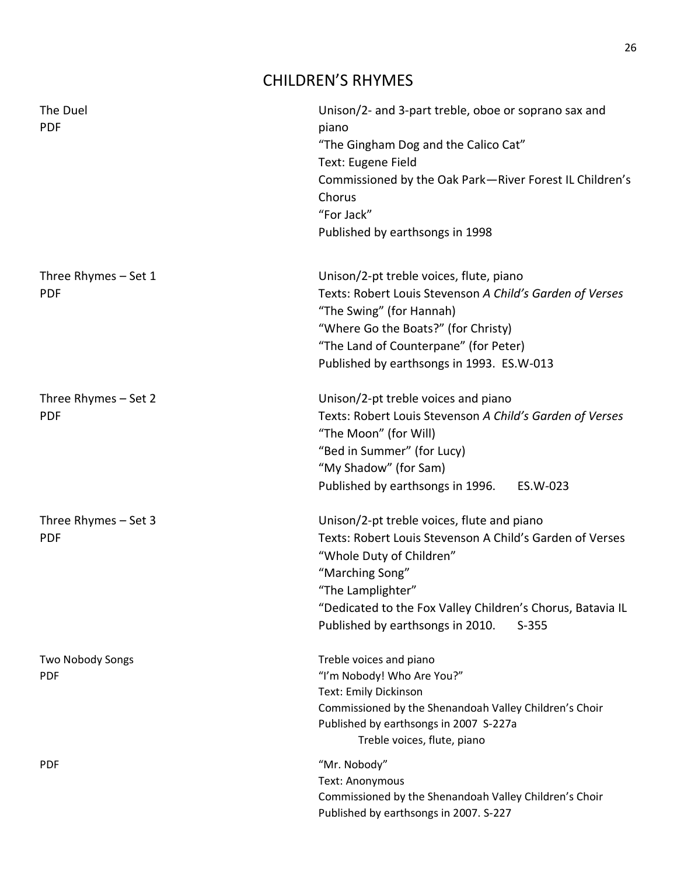## CHILDREN'S RHYMES

| The Duel<br><b>PDF</b>             | Unison/2- and 3-part treble, oboe or soprano sax and<br>piano<br>"The Gingham Dog and the Calico Cat"<br>Text: Eugene Field<br>Commissioned by the Oak Park-River Forest IL Children's<br>Chorus<br>"For Jack"<br>Published by earthsongs in 1998                                       |
|------------------------------------|-----------------------------------------------------------------------------------------------------------------------------------------------------------------------------------------------------------------------------------------------------------------------------------------|
| Three Rhymes - Set 1<br><b>PDF</b> | Unison/2-pt treble voices, flute, piano<br>Texts: Robert Louis Stevenson A Child's Garden of Verses<br>"The Swing" (for Hannah)<br>"Where Go the Boats?" (for Christy)<br>"The Land of Counterpane" (for Peter)<br>Published by earthsongs in 1993. ES.W-013                            |
| Three Rhymes - Set 2<br><b>PDF</b> | Unison/2-pt treble voices and piano<br>Texts: Robert Louis Stevenson A Child's Garden of Verses<br>"The Moon" (for Will)<br>"Bed in Summer" (for Lucy)<br>"My Shadow" (for Sam)<br>Published by earthsongs in 1996.<br>ES.W-023                                                         |
| Three Rhymes - Set 3<br><b>PDF</b> | Unison/2-pt treble voices, flute and piano<br>Texts: Robert Louis Stevenson A Child's Garden of Verses<br>"Whole Duty of Children"<br>"Marching Song"<br>"The Lamplighter"<br>"Dedicated to the Fox Valley Children's Chorus, Batavia IL<br>Published by earthsongs in 2010.<br>$S-355$ |
| Two Nobody Songs<br><b>PDF</b>     | Treble voices and piano<br>"I'm Nobody! Who Are You?"<br>Text: Emily Dickinson<br>Commissioned by the Shenandoah Valley Children's Choir<br>Published by earthsongs in 2007 S-227a<br>Treble voices, flute, piano                                                                       |
| <b>PDF</b>                         | "Mr. Nobody"<br>Text: Anonymous<br>Commissioned by the Shenandoah Valley Children's Choir<br>Published by earthsongs in 2007. S-227                                                                                                                                                     |